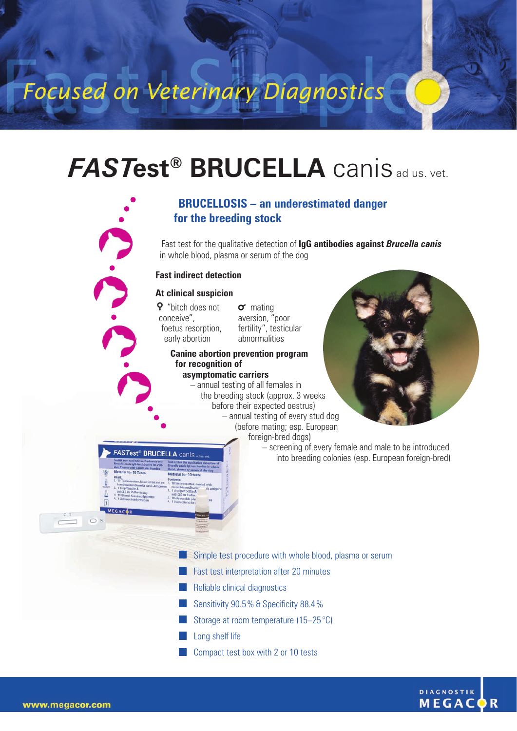# Focused on Veterinary Diagnostics

### *FAST***est® BRUCELLA** canis ad us. vet.

### **BRUCELLOSIS – an underestimated danger for the breeding stock**

Fast test for the qualitative detection of **IgG antibodies against** *Brucella canis* in whole blood, plasma or serum of the dog

#### **Fast indirect detection**

#### **At clinical suspicion**

 "bitch does not conceive", foetus resorption, early abortion

**FASTest<sup>®</sup> BRUCELLA** canis

 $\sigma$  mating aversion, "poor fertility", testicular abnormalities

#### **Canine abortion prevention program for recognition of asymptomatic carriers**

– annual testing of all females in the breeding stock (approx. 3 weeks before their expected oestrus) – annual testing of every stud dog (before mating; esp. European foreign-bred dogs)



– screening of every female and male to be introduced into breeding colonies (esp. European foreign-bred)

- Simple test procedure with whole blood, plasma or serum
- **Fast test interpretation after 20 minutes**
- **Reliable clinical diagnostics** 
	- Sensitivity 90.5% & Specificity 88.4%
- Storage at room temperature (15–25 °C)
- Long shelf life
- **Compact test box with 2 or 10 tests**



 $\bigcap$